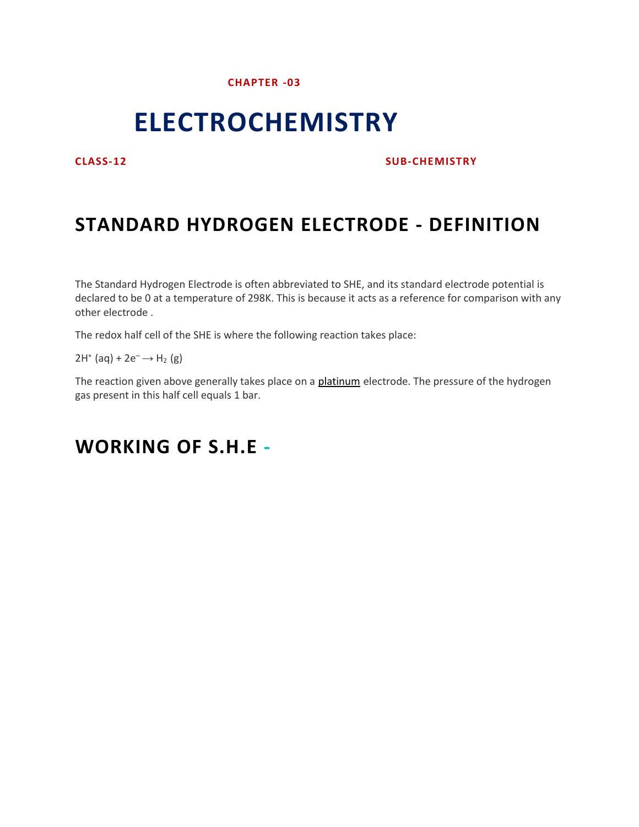### **CHAPTER -03**

# **ELECTROCHEMISTRY**

### **CLASS-12 SUB-CHEMISTRY**

## **STANDARD HYDROGEN ELECTRODE - DEFINITION**

The Standard Hydrogen Electrode is often abbreviated to SHE, and its standard electrode potential is declared to be 0 at a temperature of 298K. This is because it acts as a reference for comparison with any other electrode .

The redox half cell of the SHE is where the following reaction takes place:

 $2H^+$  (aq) +  $2e^- \rightarrow H_2$  (g)

The reaction given above generally takes place on a [platinum](https://byjus.com/chemistry/platinum/) electrode. The pressure of the hydrogen gas present in this half cell equals 1 bar.

## **WORKING OF S.H.E -**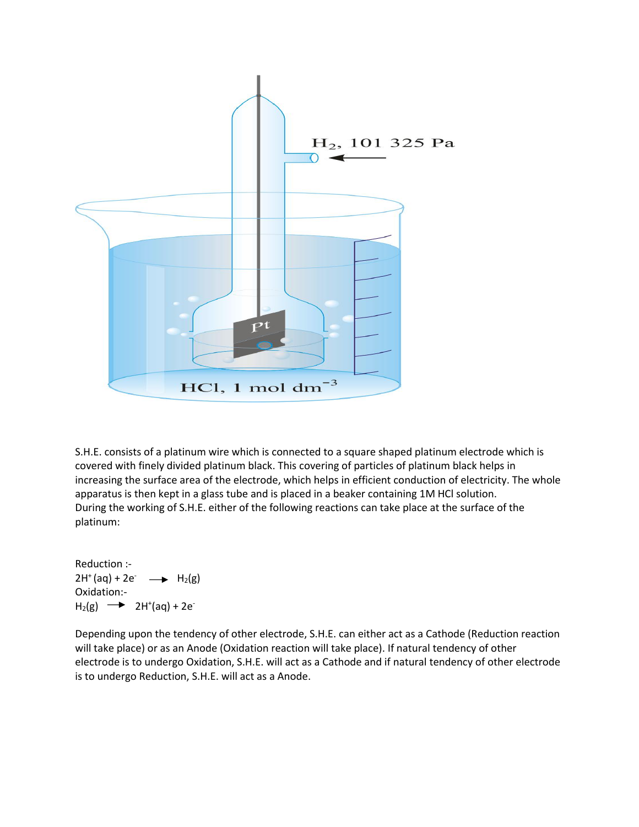

S.H.E. consists of a platinum wire which is connected to a square shaped platinum electrode which is covered with finely divided platinum black. This covering of particles of platinum black helps in increasing the surface area of the electrode, which helps in efficient conduction of electricity. The whole apparatus is then kept in a glass tube and is placed in a beaker containing 1M HCl solution. During the working of S.H.E. either of the following reactions can take place at the surface of the platinum:

Reduction :-  $2H^{+}(aq) + 2e^{-} \longrightarrow H_{2}(g)$ Oxidation:-  $H_2(g) \longrightarrow 2H^+(aq) + 2e^-$ **-** Contractor

Depending upon the tendency of other electrode, S.H.E. can either act as a Cathode (Reduction reaction will take place) or as an Anode (Oxidation reaction will take place). If natural tendency of other electrode is to undergo Oxidation, S.H.E. will act as a Cathode and if natural tendency of other electrode is to undergo Reduction, S.H.E. will act as a Anode.